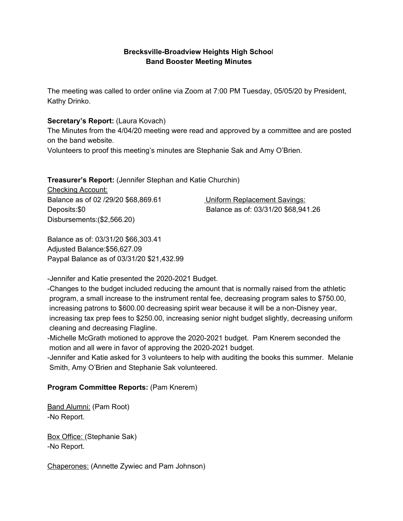### **Brecksville-Broadview Heights High Schoo**l **Band Booster Meeting Minutes**

The meeting was called to order online via Zoom at 7:00 PM Tuesday, 05/05/20 by President, Kathy Drinko.

#### **Secretary's Report:** (Laura Kovach)

The Minutes from the 4/04/20 meeting were read and approved by a committee and are posted on the band website.

Volunteers to proof this meeting's minutes are Stephanie Sak and Amy O'Brien.

#### **Treasurer's Report:** (Jennifer Stephan and Katie Churchin)

Checking Account: Balance as of 02 /29/20 \$68,869.61 Uniform Replacement Savings: Disbursements:(\$2,566.20)

Deposits:\$0 Balance as of: 03/31/20 \$68,941.26

Balance as of: 03/31/20 \$66,303.41 Adjusted Balance:\$56,627.09 Paypal Balance as of 03/31/20 \$21,432.99

-Jennifer and Katie presented the 2020-2021 Budget.

-Changes to the budget included reducing the amount that is normally raised from the athletic program, a small increase to the instrument rental fee, decreasing program sales to \$750.00, increasing patrons to \$600.00 decreasing spirit wear because it will be a non-Disney year, increasing tax prep fees to \$250.00, increasing senior night budget slightly, decreasing uniform cleaning and decreasing Flagline.

-Michelle McGrath motioned to approve the 2020-2021 budget. Pam Knerem seconded the motion and all were in favor of approving the 2020-2021 budget.

-Jennifer and Katie asked for 3 volunteers to help with auditing the books this summer. Melanie Smith, Amy O'Brien and Stephanie Sak volunteered.

#### **Program Committee Reports:** (Pam Knerem)

Band Alumni: (Pam Root) -No Report.

Box Office: (Stephanie Sak) -No Report.

Chaperones: (Annette Zywiec and Pam Johnson)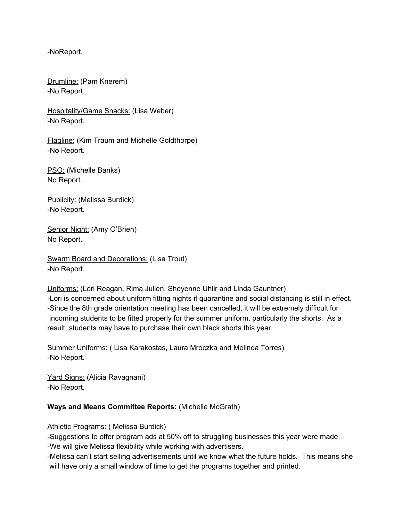-NoReport.

Drumline: (Pam Knerem) -No Report.

Hospitality/Game Snacks: (Lisa Weber) -No Report.

Flagline: (Kim Traum and Michelle Goldthorpe) -No Report.

PSO: (Michelle Banks) No Report.

Publicity: (Melissa Burdick) -No Report.

Senior Night: (Amy O'Brien) No Report.

Swarm Board and Decorations: (Lisa Trout) -No Report.

Uniforms: (Lori Reagan, Rima Julien, Sheyenne Uhlir and Linda Gauntner) -Lori is concerned about uniform fitting nights if quarantine and social distancing is still in effect. -Since the 8th grade orientation meeting has been cancelled, it will be extremely difficult for incoming students to be fitted properly for the summer uniform, particularly the shorts. As a result, students may have to purchase their own black shorts this year.

Summer Uniforms: ( Lisa Karakostas, Laura Mroczka and Melinda Torres) -No Report.

Yard Signs: (Alicia Ravagnani) -No Report.

#### **Ways and Means Committee Reports:** (Michelle McGrath)

Athletic Programs: (Melissa Burdick)

-Suggestions to offer program ads at 50% off to struggling businesses this year were made.

-We will give Melissa flexibility while working with advertisers.

-Melissa can't start selling advertisements until we know what the future holds. This means she will have only a small window of time to get the programs together and printed.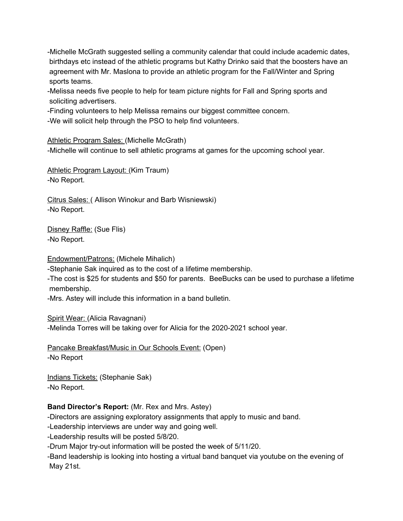-Michelle McGrath suggested selling a community calendar that could include academic dates, birthdays etc instead of the athletic programs but Kathy Drinko said that the boosters have an agreement with Mr. Maslona to provide an athletic program for the Fall/Winter and Spring sports teams.

-Melissa needs five people to help for team picture nights for Fall and Spring sports and soliciting advertisers.

-Finding volunteers to help Melissa remains our biggest committee concern.

-We will solicit help through the PSO to help find volunteers.

Athletic Program Sales: (Michelle McGrath)

-Michelle will continue to sell athletic programs at games for the upcoming school year.

Athletic Program Layout: (Kim Traum) -No Report.

Citrus Sales: ( Allison Winokur and Barb Wisniewski) -No Report.

Disney Raffle: (Sue Flis) -No Report.

Endowment/Patrons: (Michele Mihalich)

-Stephanie Sak inquired as to the cost of a lifetime membership.

-The cost is \$25 for students and \$50 for parents. BeeBucks can be used to purchase a lifetime membership.

-Mrs. Astey will include this information in a band bulletin.

Spirit Wear: (Alicia Ravagnani)

-Melinda Torres will be taking over for Alicia for the 2020-2021 school year.

Pancake Breakfast/Music in Our Schools Event: (Open) -No Report

Indians Tickets: (Stephanie Sak) -No Report.

# **Band Director's Report:** (Mr. Rex and Mrs. Astey)

-Directors are assigning exploratory assignments that apply to music and band.

-Leadership interviews are under way and going well.

-Leadership results will be posted 5/8/20.

-Drum Major try-out information will be posted the week of 5/11/20.

-Band leadership is looking into hosting a virtual band banquet via youtube on the evening of May 21st.